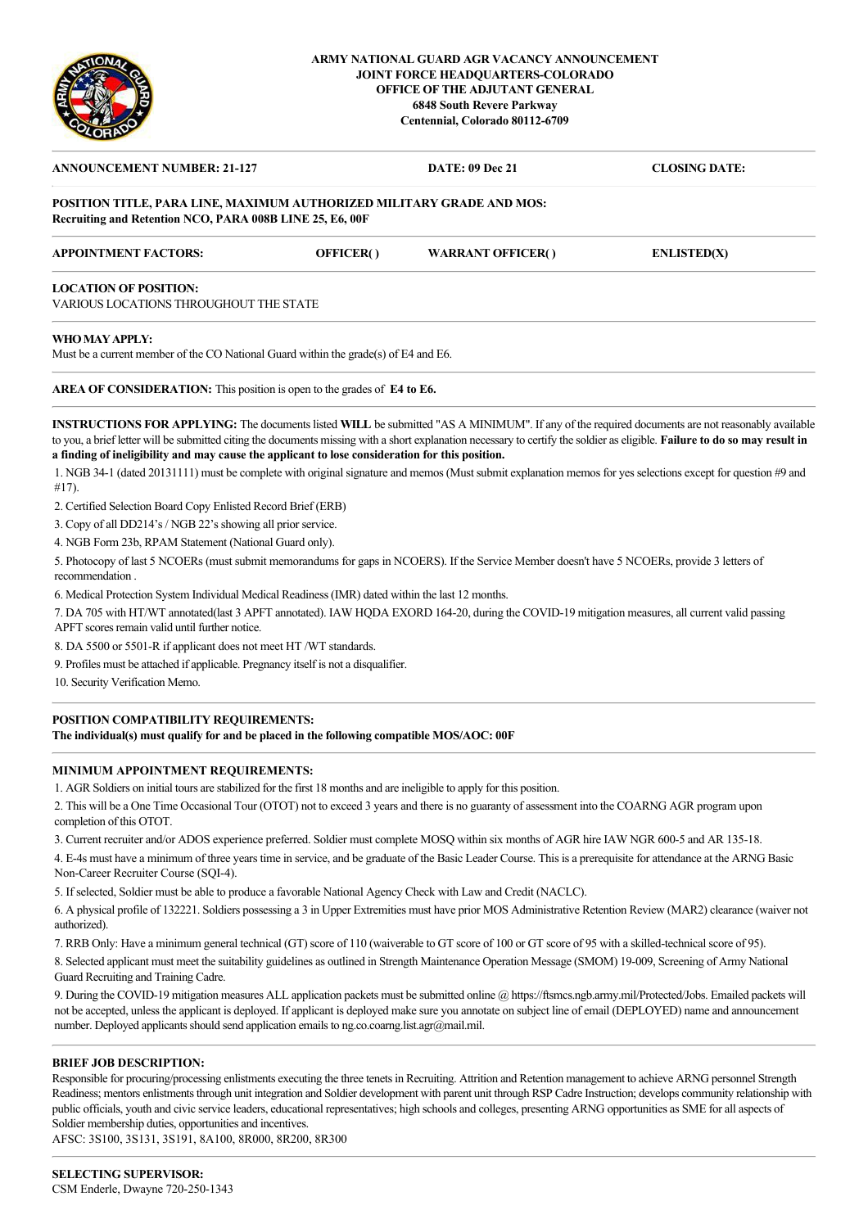

### **ARMY NATIONAL GUARD AGR VACANCY ANNOUNCEMENT JOINT FORCE HEADQUARTERS-COLORADO OFFICE OF THE ADJUTANT GENERAL 6848 South Revere Parkway Centennial, Colorado 80112-6709**

| <b>ANNOUNCEMENT NUMBER: 21-127</b>                                    |                                        | <b>DATE: 09 Dec 21</b>   | <b>CLOSING DATE:</b> |
|-----------------------------------------------------------------------|----------------------------------------|--------------------------|----------------------|
| POSITION TITLE, PARA LINE, MAXIMUM AUTHORIZED MILITARY GRADE AND MOS: |                                        |                          |                      |
| Recruiting and Retention NCO, PARA 008B LINE 25, E6, 00F              |                                        |                          |                      |
| <b>APPOINTMENT FACTORS:</b>                                           | OFFICER()                              | <b>WARRANT OFFICER()</b> | <b>ENLISTED(X)</b>   |
| <b>LOCATION OF POSITION:</b>                                          |                                        |                          |                      |
|                                                                       | VARIOUS LOCATIONS THROUGHOUT THE STATE |                          |                      |

Must be a current member of the CO National Guard within the grade(s) of E4 and E6.

**AREA OF CONSIDERATION:** This position is open to the grades of **E4 to E6.**

**INSTRUCTIONS FOR APPLYING:** The documents listed **WILL** be submitted "AS A MINIMUM". If any of the required documents are not reasonably available to you, a brief letter will be submitted citing the documents missing with a short explanation necessary to certify the soldier as eligible. **Failure to do so may result in a finding of ineligibility and may cause the applicant to lose consideration for this position.**

1. NGB 34-1 (dated 20131111) must be complete with original signature and memos (Must submit explanation memos for yes selections except for question #9 and #17).

2. Certified Selection Board Copy Enlisted Record Brief (ERB)

3. Copy of all DD214's / NGB 22's showing all prior service.

4. NGB Form 23b, RPAM Statement (National Guard only).

5. Photocopy of last 5 NCOERs (must submit memorandums for gaps in NCOERS). If the Service Member doesn't have 5 NCOERs, provide 3 letters of recommendation .

6. Medical Protection System Individual Medical Readiness (IMR) dated within the last 12 months.

7. DA 705 with HT/WT annotated(last 3 APFT annotated). IAW HQDA EXORD 164-20, during the COVID-19 mitigation measures, all current valid passing APFT scores remain valid until further notice.

8. DA 5500 or 5501-R if applicant does not meet HT /WT standards.

9. Profiles must be attached if applicable. Pregnancy itself is not a disqualifier.

10. Security Verification Memo.

# **POSITION COMPATIBILITY REQUIREMENTS:**

**The individual(s) must qualify for and be placed in the following compatible MOS/AOC: 00F**

#### **MINIMUM APPOINTMENT REQUIREMENTS:**

1. AGR Soldiers on initial tours are stabilized for the first 18 months and are ineligible to apply for this position.

2. This will be a One Time Occasional Tour (OTOT) not to exceed 3 years and there is no guaranty of assessment into the COARNG AGR program upon completion of this OTOT.

3. Current recruiter and/or ADOS experience preferred. Soldier must complete MOSQ within six months of AGR hire IAW NGR 600-5 and AR 135-18.

4. E-4s must have a minimum of three years time in service, and be graduate of the Basic Leader Course. This is a prerequisite for attendance at the ARNG Basic Non-Career Recruiter Course (SQI-4).

5. If selected, Soldier must be able to produce a favorable National Agency Check with Law and Credit (NACLC).

6. A physical profile of 132221. Soldiers possessing a 3 in Upper Extremities must have prior MOS Administrative Retention Review (MAR2) clearance (waiver not authorized).

7. RRB Only: Have a minimum general technical (GT) score of 110 (waiverable to GT score of 100 or GT score of 95 with a skilled-technical score of 95).

8. Selected applicant must meet the suitability guidelines as outlined in Strength Maintenance Operation Message (SMOM) 19-009, Screening of Army National Guard Recruiting and Training Cadre.

9. During the COVID-19 mitigation measures ALL application packets must be submitted online @ https://ftsmcs.ngb.army.mil/Protected/Jobs. Emailed packets will not be accepted, unless the applicant is deployed. If applicant is deployed make sure you annotate on subject line of email (DEPLOYED) name and announcement number. Deployed applicants should send application emails to ng.co.coarng.list.agr@mail.mil.

#### **BRIEF JOB DESCRIPTION:**

Responsible for procuring/processing enlistments executing the three tenets in Recruiting. Attrition and Retention management to achieve ARNG personnel Strength Readiness; mentors enlistments through unit integration and Soldier development with parent unit through RSP Cadre Instruction; develops community relationship with public officials, youth and civic service leaders, educational representatives; high schools and colleges, presenting ARNG opportunities as SME for all aspects of Soldier membership duties, opportunities and incentives.

AFSC: 3S100, 3S131, 3S191, 8A100, 8R000, 8R200, 8R300